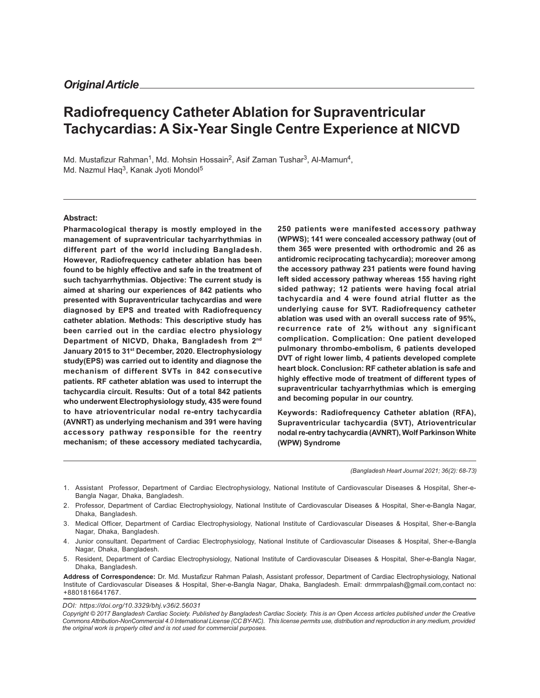# **Radiofrequency Catheter Ablation for Supraventricular Tachycardias: A Six-Year Single Centre Experience at NICVD**

Md. Mustafizur Rahman<sup>1</sup>, Md. Mohsin Hossain<sup>2</sup>, Asif Zaman Tushar<sup>3</sup>, Al-Mamun<sup>4</sup>, Md. Nazmul Haq<sup>3</sup>, Kanak Jyoti Mondol<sup>5</sup>

# **Abstract:**

**Pharmacological therapy is mostly employed in the management of supraventricular tachyarrhythmias in different part of the world including Bangladesh. However, Radiofrequency catheter ablation has been found to be highly effective and safe in the treatment of such tachyarrhythmias. Objective: The current study is aimed at sharing our experiences of 842 patients who presented with Supraventricular tachycardias and were diagnosed by EPS and treated with Radiofrequency catheter ablation. Methods: This descriptive study has been carried out in the cardiac electro physiology Department of NICVD, Dhaka, Bangladesh from 2nd January 2015 to 31st December, 2020. Electrophysiology study(EPS) was carried out to identity and diagnose the mechanism of different SVTs in 842 consecutive patients. RF catheter ablation was used to interrupt the tachycardia circuit. Results: Out of a total 842 patients who underwent Electrophysiology study, 435 were found to have atrioventricular nodal re-entry tachycardia (AVNRT) as underlying mechanism and 391 were having accessory pathway responsible for the reentry mechanism; of these accessory mediated tachycardia,**

**250 patients were manifested accessory pathway (WPWS); 141 were concealed accessory pathway (out of them 365 were presented with orthodromic and 26 as antidromic reciprocating tachycardia); moreover among the accessory pathway 231 patients were found having left sided accessory pathway whereas 155 having right sided pathway; 12 patients were having focal atrial tachycardia and 4 were found atrial flutter as the underlying cause for SVT. Radiofrequency catheter ablation was used with an overall success rate of 95%, recurrence rate of 2% without any significant complication. Complication: One patient developed pulmonary thrombo-embolism, 6 patients developed DVT of right lower limb, 4 patients developed complete heart block. Conclusion: RF catheter ablation is safe and highly effective mode of treatment of different types of supraventricular tachyarrhythmias which is emerging and becoming popular in our country.**

**Keywords: Radiofrequency Catheter ablation (RFA), Supraventricular tachycardia (SVT), Atrioventricular nodal re-entry tachycardia (AVNRT), Wolf Parkinson White (WPW) Syndrome**

*(Bangladesh Heart Journal 2021; 36(2): 68-73)*

- 1. Assistant Professor, Department of Cardiac Electrophysiology, National Institute of Cardiovascular Diseases & Hospital, Sher-e-Bangla Nagar, Dhaka, Bangladesh.
- 2. Professor, Department of Cardiac Electrophysiology, National Institute of Cardiovascular Diseases & Hospital, Sher-e-Bangla Nagar, Dhaka, Bangladesh.
- 3. Medical Officer, Department of Cardiac Electrophysiology, National Institute of Cardiovascular Diseases & Hospital, Sher-e-Bangla Nagar, Dhaka, Bangladesh.
- 4. Junior consultant. Department of Cardiac Electrophysiology, National Institute of Cardiovascular Diseases & Hospital, Sher-e-Bangla Nagar, Dhaka, Bangladesh.
- 5. Resident, Department of Cardiac Electrophysiology, National Institute of Cardiovascular Diseases & Hospital, Sher-e-Bangla Nagar, Dhaka, Bangladesh.
- **Address of Correspondence:** Dr. Md. Mustafizur Rahman Palash, Assistant professor, Department of Cardiac Electrophysiology, National Institute of Cardiovascular Diseases & Hospital, Sher-e-Bangla Nagar, Dhaka, Bangladesh. Email: drmmrpalash@gmail.com,contact no: +8801816641767.

*DOI: https://doi.org/10.3329/bhj.v36i2.56031*

*Copyright © 2017 Bangladesh Cardiac Society. Published by Bangladesh Cardiac Society. This is an Open Access articles published under the Creative Commons Attribution-NonCommercial 4.0 International License (CC BY-NC). This license permits use, distribution and reproduction in any medium, provided the original work is properly cited and is not used for commercial purposes.*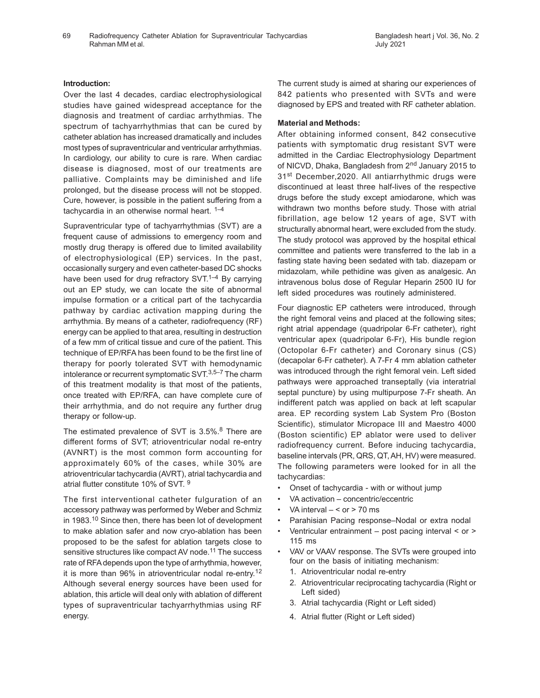# **Introduction:**

Over the last 4 decades, cardiac electrophysiological studies have gained widespread acceptance for the diagnosis and treatment of cardiac arrhythmias. The spectrum of tachyarrhythmias that can be cured by catheter ablation has increased dramatically and includes most types of supraventricular and ventricular arrhythmias. In cardiology, our ability to cure is rare. When cardiac disease is diagnosed, most of our treatments are palliative. Complaints may be diminished and life prolonged, but the disease process will not be stopped. Cure, however, is possible in the patient suffering from a tachycardia in an otherwise normal heart.  $1-4$ 

Supraventricular type of tachyarrhythmias (SVT) are a frequent cause of admissions to emergency room and mostly drug therapy is offered due to limited availability of electrophysiological (EP) services. In the past, occasionally surgery and even catheter-based DC shocks have been used for drug refractory SVT.<sup>1–4</sup> By carrying out an EP study, we can locate the site of abnormal impulse formation or a critical part of the tachycardia pathway by cardiac activation mapping during the arrhythmia. By means of a catheter, radiofrequency (RF) energy can be applied to that area, resulting in destruction of a few mm of critical tissue and cure of the patient. This technique of EP/RFA has been found to be the first line of therapy for poorly tolerated SVT with hemodynamic intolerance or recurrent symptomatic SVT.<sup>3,5-7</sup> The charm of this treatment modality is that most of the patients, once treated with EP/RFA, can have complete cure of their arrhythmia, and do not require any further drug therapy or follow-up.

The estimated prevalence of SVT is 3.5%.<sup>8</sup> There are different forms of SVT; atrioventricular nodal re-entry (AVNRT) is the most common form accounting for approximately 60% of the cases, while 30% are atrioventricular tachycardia (AVRT), atrial tachycardia and atrial flutter constitute 10% of SVT. 9

The first interventional catheter fulguration of an accessory pathway was performed by Weber and Schmiz in 1983.10 Since then, there has been lot of development to make ablation safer and now cryo-ablation has been proposed to be the safest for ablation targets close to sensitive structures like compact AV node.<sup>11</sup> The success rate of RFA depends upon the type of arrhythmia, however, it is more than 96% in atrioventricular nodal re-entry.<sup>12</sup> Although several energy sources have been used for ablation, this article will deal only with ablation of different types of supraventricular tachyarrhythmias using RF energy.

The current study is aimed at sharing our experiences of 842 patients who presented with SVTs and were diagnosed by EPS and treated with RF catheter ablation.

# **Material and Methods:**

After obtaining informed consent, 842 consecutive patients with symptomatic drug resistant SVT were admitted in the Cardiac Electrophysiology Department of NICVD, Dhaka, Bangladesh from 2<sup>nd</sup> January 2015 to 31<sup>st</sup> December, 2020. All antiarrhythmic drugs were discontinued at least three half-lives of the respective drugs before the study except amiodarone, which was withdrawn two months before study. Those with atrial fibrillation, age below 12 years of age, SVT with structurally abnormal heart, were excluded from the study. The study protocol was approved by the hospital ethical committee and patients were transferred to the lab in a fasting state having been sedated with tab. diazepam or midazolam, while pethidine was given as analgesic. An intravenous bolus dose of Regular Heparin 2500 IU for left sided procedures was routinely administered.

Four diagnostic EP catheters were introduced, through the right femoral veins and placed at the following sites; right atrial appendage (quadripolar 6-Fr catheter), right ventricular apex (quadripolar 6-Fr), His bundle region (Octopolar 6-Fr catheter) and Coronary sinus (CS) (decapolar 6-Fr catheter). A 7-Fr 4 mm ablation catheter was introduced through the right femoral vein. Left sided pathways were approached transeptally (via interatrial septal puncture) by using multipurpose 7-Fr sheath. An indifferent patch was applied on back at left scapular area. EP recording system Lab System Pro (Boston Scientific), stimulator Micropace III and Maestro 4000 (Boston scientific) EP ablator were used to deliver radiofrequency current. Before inducing tachycardia, baseline intervals (PR, QRS, QT, AH, HV) were measured. The following parameters were looked for in all the tachycardias:

- Onset of tachycardia with or without jump
- VA activation concentric/eccentric
- VA interval  $< or$  > 70 ms
- Parahisian Pacing response–Nodal or extra nodal
- Ventricular entrainment post pacing interval < or > 115 ms
- VAV or VAAV response. The SVTs were grouped into four on the basis of initiating mechanism:
	- 1. Atrioventricular nodal re-entry
	- 2. Atrioventricular reciprocating tachycardia (Right or Left sided)
	- 3. Atrial tachycardia (Right or Left sided)
	- 4. Atrial flutter (Right or Left sided)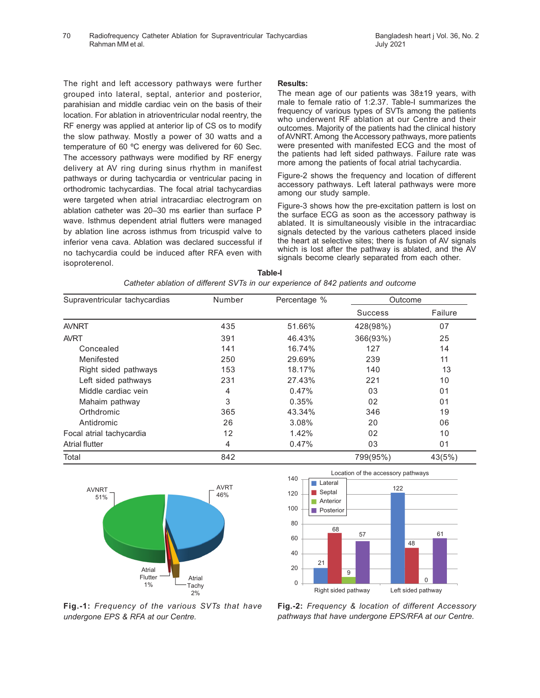The right and left accessory pathways were further grouped into lateral, septal, anterior and posterior, parahisian and middle cardiac vein on the basis of their location. For ablation in atrioventricular nodal reentry, the RF energy was applied at anterior lip of CS os to modify the slow pathway. Mostly a power of 30 watts and a temperature of 60 ºC energy was delivered for 60 Sec. The accessory pathways were modified by RF energy delivery at AV ring during sinus rhythm in manifest pathways or during tachycardia or ventricular pacing in orthodromic tachycardias. The focal atrial tachycardias were targeted when atrial intracardiac electrogram on ablation catheter was 20–30 ms earlier than surface P wave. Isthmus dependent atrial flutters were managed by ablation line across isthmus from tricuspid valve to inferior vena cava. Ablation was declared successful if no tachycardia could be induced after RFA even with isoproterenol.

# **Results:**

The mean age of our patients was 38±19 years, with male to female ratio of 1:2.37. Table-I summarizes the frequency of various types of SVTs among the patients who underwent RF ablation at our Centre and their outcomes. Majority of the patients had the clinical history of AVNRT. Among the Accessory pathways, more patients were presented with manifested ECG and the most of the patients had left sided pathways. Failure rate was more among the patients of focal atrial tachycardia.

Figure-2 shows the frequency and location of different accessory pathways. Left lateral pathways were more among our study sample.

Figure-3 shows how the pre-excitation pattern is lost on the surface ECG as soon as the accessory pathway is ablated. It is simultaneously visible in the intracardiac signals detected by the various catheters placed inside the heart at selective sites; there is fusion of AV signals which is lost after the pathway is ablated, and the AV signals become clearly separated from each other.

| Supraventricular tachycardias | Number | Percentage % | Outcome        |                |
|-------------------------------|--------|--------------|----------------|----------------|
|                               |        |              | <b>Success</b> | Failure        |
| <b>AVNRT</b>                  | 435    | 51.66%       | 428(98%)       | 07             |
| <b>AVRT</b>                   | 391    | 46.43%       | 366(93%)       | 25             |
| Concealed                     | 141    | 16.74%       | 127            | 14             |
| Menifested                    | 250    | 29.69%       | 239            | 11             |
| Right sided pathways          | 153    | 18.17%       | 140            | 13             |
| Left sided pathways           | 231    | 27.43%       | 221            | 10             |
| Middle cardiac vein           | 4      | 0.47%        | 03             | 01             |
| Mahaim pathway                | 3      | 0.35%        | 02             | 0 <sub>1</sub> |
| Orthdromic                    | 365    | 43.34%       | 346            | 19             |
| Antidromic                    | 26     | 3.08%        | 20             | 06             |
| Focal atrial tachycardia      | 12     | 1.42%        | 02             | 10             |
| <b>Atrial flutter</b>         | 4      | 0.47%        | 03             | 01             |
| Total                         | 842    |              | 799(95%)       | 43(5%)         |







**Fig.-1:** *Frequency of the various SVTs that have undergone EPS & RFA at our Centre.*

**Fig.-2:** *Frequency & location of different Accessory pathways that have undergone EPS/RFA at our Centre.*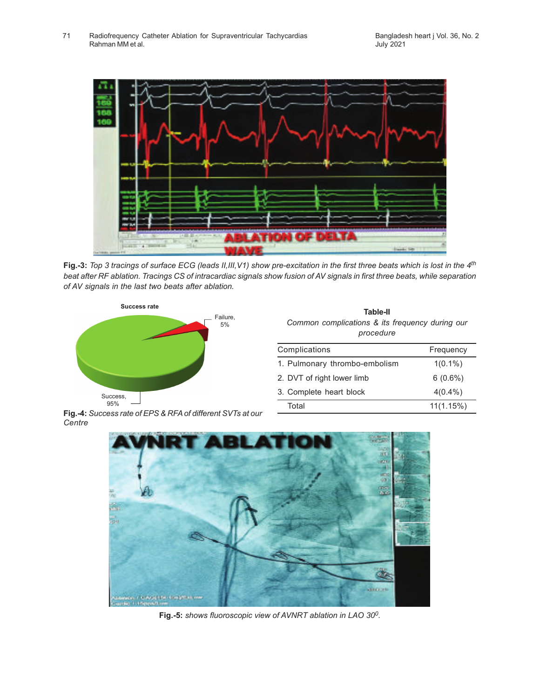

**Fig.-3:** *Top 3 tracings of surface ECG (leads II,III,V1) show pre-excitation in the first three beats which is lost in the 4th beat after RF ablation. Tracings CS of intracardiac signals show fusion of AV signals in first three beats, while separation of AV signals in the last two beats after ablation.*



**Table-II** *Common complications & its frequency during our procedure*

| Complications                 | Frequency  |  |
|-------------------------------|------------|--|
| 1. Pulmonary thrombo-embolism | $1(0.1\%)$ |  |
| 2. DVT of right lower limb    | $6(0.6\%)$ |  |
| 3. Complete heart block       | $4(0.4\%)$ |  |
| Total                         | 11(1.15%)  |  |
|                               |            |  |

**Fig.-4:** *Success rate of EPS & RFA of different SVTs at our Centre*



**Fig.-5:** *shows fluoroscopic view of AVNRT ablation in LAO 30<sup>0</sup> .*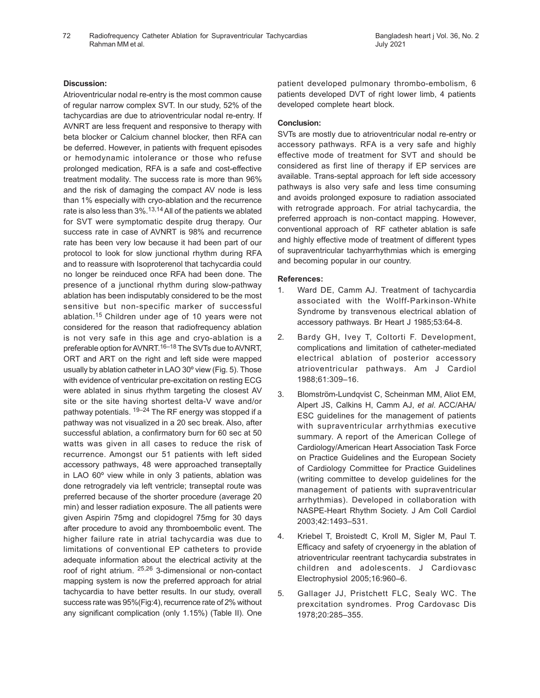Radiofrequency Catheter Ablation for Supraventricular Tachycardias 72 Bangladesh heart j Vol. 36, No. 2 Rahman MM et al.

# **Discussion:**

Atrioventricular nodal re-entry is the most common cause of regular narrow complex SVT. In our study, 52% of the tachycardias are due to atrioventricular nodal re-entry. If AVNRT are less frequent and responsive to therapy with beta blocker or Calcium channel blocker, then RFA can be deferred. However, in patients with frequent episodes or hemodynamic intolerance or those who refuse prolonged medication, RFA is a safe and cost-effective treatment modality. The success rate is more than 96% and the risk of damaging the compact AV node is less than 1% especially with cryo-ablation and the recurrence rate is also less than  $3\%$ .<sup>13,14</sup> All of the patients we ablated for SVT were symptomatic despite drug therapy. Our success rate in case of AVNRT is 98% and recurrence rate has been very low because it had been part of our protocol to look for slow junctional rhythm during RFA and to reassure with Isoproterenol that tachycardia could no longer be reinduced once RFA had been done. The presence of a junctional rhythm during slow-pathway ablation has been indisputably considered to be the most sensitive but non-specific marker of successful ablation.15 Children under age of 10 years were not considered for the reason that radiofrequency ablation is not very safe in this age and cryo-ablation is a preferable option for AVNRT.<sup>16–18</sup> The SVTs due to AVNRT, ORT and ART on the right and left side were mapped usually by ablation catheter in LAO 30º view (Fig. 5). Those with evidence of ventricular pre-excitation on resting ECG were ablated in sinus rhythm targeting the closest AV site or the site having shortest delta-V wave and/or pathway potentials. <sup>19–24</sup> The RF energy was stopped if a pathway was not visualized in a 20 sec break. Also, after successful ablation, a confirmatory burn for 60 sec at 50 watts was given in all cases to reduce the risk of recurrence. Amongst our 51 patients with left sided accessory pathways, 48 were approached transeptally in LAO 60º view while in only 3 patients, ablation was done retrogradely via left ventricle; transeptal route was preferred because of the shorter procedure (average 20 min) and lesser radiation exposure. The all patients were given Aspirin 75mg and clopidogrel 75mg for 30 days after procedure to avoid any thromboembolic event. The higher failure rate in atrial tachycardia was due to limitations of conventional EP catheters to provide adequate information about the electrical activity at the roof of right atrium. 25,26 3-dimensional or non-contact mapping system is now the preferred approach for atrial tachycardia to have better results. In our study, overall success rate was 95%(Fig:4), recurrence rate of 2% without any significant complication (only 1.15%) (Table II). One

patient developed pulmonary thrombo-embolism, 6 patients developed DVT of right lower limb, 4 patients developed complete heart block.

# **Conclusion:**

SVTs are mostly due to atrioventricular nodal re-entry or accessory pathways. RFA is a very safe and highly effective mode of treatment for SVT and should be considered as first line of therapy if EP services are available. Trans-septal approach for left side accessory pathways is also very safe and less time consuming and avoids prolonged exposure to radiation associated with retrograde approach. For atrial tachycardia, the preferred approach is non-contact mapping. However, conventional approach of RF catheter ablation is safe and highly effective mode of treatment of different types of supraventricular tachyarrhythmias which is emerging and becoming popular in our country.

# **References:**

- 1. Ward DE, Camm AJ. Treatment of tachycardia associated with the Wolff-Parkinson-White Syndrome by transvenous electrical ablation of accessory pathways. Br Heart J 1985;53:64-8.
- 2. Bardy GH, Ivey T, Coltorti F. Development, complications and limitation of catheter-mediated electrical ablation of posterior accessory atrioventricular pathways. Am J Cardiol 1988;61:309–16.
- 3. Blomström-Lundqvist C, Scheinman MM, Aliot EM, Alpert JS, Calkins H, Camm AJ, *et al*. ACC/AHA/ ESC guidelines for the management of patients with supraventricular arrhythmias executive summary. A report of the American College of Cardiology/American Heart Association Task Force on Practice Guidelines and the European Society of Cardiology Committee for Practice Guidelines (writing committee to develop guidelines for the management of patients with supraventricular arrhythmias). Developed in collaboration with NASPE-Heart Rhythm Society. J Am Coll Cardiol 2003;42:1493–531.
- 4. Kriebel T, Broistedt C, Kroll M, Sigler M, Paul T. Efficacy and safety of cryoenergy in the ablation of atrioventricular reentrant tachycardia substrates in children and adolescents. J Cardiovasc Electrophysiol 2005;16:960–6.
- 5. Gallager JJ, Pristchett FLC, Sealy WC. The prexcitation syndromes. Prog Cardovasc Dis 1978;20:285–355.